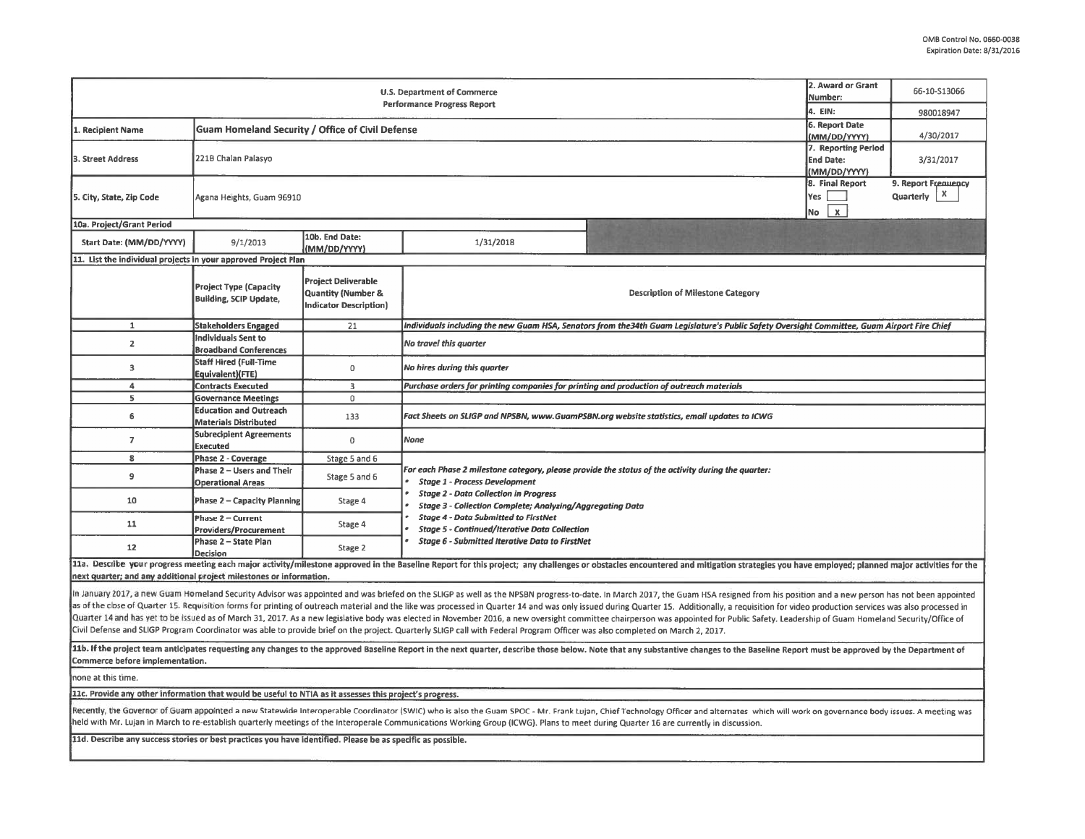|                                                                                                                                                                                                                                                                                                                                                                                                                                                                                                                                                                                                                                                                                                                                                                                                                                                                                                                                                                                                                                                                                                                                                                                                                                | 2. Award or Grant<br>Number:<br>4. EIN:                                        | 66-10-S13066                                                                                 |                                                                                                                                                                                                                                                                |                                                                                                                                                                                                                                |  |  |  |  |  |  |  |  |
|--------------------------------------------------------------------------------------------------------------------------------------------------------------------------------------------------------------------------------------------------------------------------------------------------------------------------------------------------------------------------------------------------------------------------------------------------------------------------------------------------------------------------------------------------------------------------------------------------------------------------------------------------------------------------------------------------------------------------------------------------------------------------------------------------------------------------------------------------------------------------------------------------------------------------------------------------------------------------------------------------------------------------------------------------------------------------------------------------------------------------------------------------------------------------------------------------------------------------------|--------------------------------------------------------------------------------|----------------------------------------------------------------------------------------------|----------------------------------------------------------------------------------------------------------------------------------------------------------------------------------------------------------------------------------------------------------------|--------------------------------------------------------------------------------------------------------------------------------------------------------------------------------------------------------------------------------|--|--|--|--|--|--|--|--|
| 1. Recipient Name                                                                                                                                                                                                                                                                                                                                                                                                                                                                                                                                                                                                                                                                                                                                                                                                                                                                                                                                                                                                                                                                                                                                                                                                              | 6. Report Date                                                                 | 980018947                                                                                    |                                                                                                                                                                                                                                                                |                                                                                                                                                                                                                                |  |  |  |  |  |  |  |  |
| 3. Street Address                                                                                                                                                                                                                                                                                                                                                                                                                                                                                                                                                                                                                                                                                                                                                                                                                                                                                                                                                                                                                                                                                                                                                                                                              | <b>Guam Homeland Security / Office of Civil Defense</b><br>221B Chalan Palasyo | (MM/DD/YYYY)<br>7. Reporting Period<br><b>End Date:</b><br>(MM/DD/YYYY)                      | 4/30/2017<br>3/31/2017                                                                                                                                                                                                                                         |                                                                                                                                                                                                                                |  |  |  |  |  |  |  |  |
| 5. City, State, Zip Code                                                                                                                                                                                                                                                                                                                                                                                                                                                                                                                                                                                                                                                                                                                                                                                                                                                                                                                                                                                                                                                                                                                                                                                                       | Agana Heights, Guam 96910                                                      | 8. Final Report<br>Yes<br>$\pmb{\mathsf{x}}$<br>No                                           | 9. Report Frenuency<br>х<br>Quarterly                                                                                                                                                                                                                          |                                                                                                                                                                                                                                |  |  |  |  |  |  |  |  |
| 10a. Project/Grant Period                                                                                                                                                                                                                                                                                                                                                                                                                                                                                                                                                                                                                                                                                                                                                                                                                                                                                                                                                                                                                                                                                                                                                                                                      |                                                                                |                                                                                              |                                                                                                                                                                                                                                                                |                                                                                                                                                                                                                                |  |  |  |  |  |  |  |  |
| Start Date: (MM/DD/YYYY)                                                                                                                                                                                                                                                                                                                                                                                                                                                                                                                                                                                                                                                                                                                                                                                                                                                                                                                                                                                                                                                                                                                                                                                                       | 9/1/2013                                                                       | 10b. End Date:<br>(MM/DD/YYYY)                                                               | 1/31/2018                                                                                                                                                                                                                                                      |                                                                                                                                                                                                                                |  |  |  |  |  |  |  |  |
| 11. List the individual projects in your approved Project Plan                                                                                                                                                                                                                                                                                                                                                                                                                                                                                                                                                                                                                                                                                                                                                                                                                                                                                                                                                                                                                                                                                                                                                                 |                                                                                |                                                                                              |                                                                                                                                                                                                                                                                |                                                                                                                                                                                                                                |  |  |  |  |  |  |  |  |
|                                                                                                                                                                                                                                                                                                                                                                                                                                                                                                                                                                                                                                                                                                                                                                                                                                                                                                                                                                                                                                                                                                                                                                                                                                | <b>Project Type (Capacity</b><br><b>Building, SCIP Update,</b>                 | <b>Project Deliverable</b><br><b>Quantity (Number &amp;</b><br><b>Indicator Description)</b> |                                                                                                                                                                                                                                                                | <b>Description of Milestone Category</b>                                                                                                                                                                                       |  |  |  |  |  |  |  |  |
| $\mathbf{1}$                                                                                                                                                                                                                                                                                                                                                                                                                                                                                                                                                                                                                                                                                                                                                                                                                                                                                                                                                                                                                                                                                                                                                                                                                   | <b>Stakeholders Engaged</b>                                                    | 21                                                                                           | individuals including the new Guam HSA, Senators from the34th Guam Legislature's Public Safety Oversight Committee, Guam Airport Fire Chief                                                                                                                    |                                                                                                                                                                                                                                |  |  |  |  |  |  |  |  |
| $\mathbf{2}$                                                                                                                                                                                                                                                                                                                                                                                                                                                                                                                                                                                                                                                                                                                                                                                                                                                                                                                                                                                                                                                                                                                                                                                                                   | <b>Individuals Sent to</b><br><b>Broadband Conferences</b>                     |                                                                                              | No travel this quarter                                                                                                                                                                                                                                         |                                                                                                                                                                                                                                |  |  |  |  |  |  |  |  |
| 3                                                                                                                                                                                                                                                                                                                                                                                                                                                                                                                                                                                                                                                                                                                                                                                                                                                                                                                                                                                                                                                                                                                                                                                                                              | <b>Staff Hired (Full-Time</b><br>Equivalent)(FTE)                              | 0                                                                                            | No hires during this quarter                                                                                                                                                                                                                                   |                                                                                                                                                                                                                                |  |  |  |  |  |  |  |  |
| $\overline{a}$                                                                                                                                                                                                                                                                                                                                                                                                                                                                                                                                                                                                                                                                                                                                                                                                                                                                                                                                                                                                                                                                                                                                                                                                                 | <b>Contracts Executed</b>                                                      | 3                                                                                            | Purchase orders for printing companies for printing and production of outreach materials                                                                                                                                                                       |                                                                                                                                                                                                                                |  |  |  |  |  |  |  |  |
| 5                                                                                                                                                                                                                                                                                                                                                                                                                                                                                                                                                                                                                                                                                                                                                                                                                                                                                                                                                                                                                                                                                                                                                                                                                              | <b>Governance Meetings</b>                                                     | 0                                                                                            |                                                                                                                                                                                                                                                                |                                                                                                                                                                                                                                |  |  |  |  |  |  |  |  |
| 6                                                                                                                                                                                                                                                                                                                                                                                                                                                                                                                                                                                                                                                                                                                                                                                                                                                                                                                                                                                                                                                                                                                                                                                                                              | <b>Education and Outreach</b><br><b>Materials Distributed</b>                  | 133                                                                                          | Fact Sheets on SLIGP and NPSBN, www.GuamPSBN.org website statistics, email updates to ICWG<br>None                                                                                                                                                             |                                                                                                                                                                                                                                |  |  |  |  |  |  |  |  |
| $\overline{7}$                                                                                                                                                                                                                                                                                                                                                                                                                                                                                                                                                                                                                                                                                                                                                                                                                                                                                                                                                                                                                                                                                                                                                                                                                 | <b>Subrecipient Agreements</b><br>Executed                                     | $\mathbf 0$                                                                                  |                                                                                                                                                                                                                                                                |                                                                                                                                                                                                                                |  |  |  |  |  |  |  |  |
| 8                                                                                                                                                                                                                                                                                                                                                                                                                                                                                                                                                                                                                                                                                                                                                                                                                                                                                                                                                                                                                                                                                                                                                                                                                              | <b>Phase 2 - Coverage</b>                                                      | Stage 5 and 6                                                                                |                                                                                                                                                                                                                                                                |                                                                                                                                                                                                                                |  |  |  |  |  |  |  |  |
| $\overline{9}$                                                                                                                                                                                                                                                                                                                                                                                                                                                                                                                                                                                                                                                                                                                                                                                                                                                                                                                                                                                                                                                                                                                                                                                                                 | Phase 2 - Users and Their<br><b>Operational Areas</b>                          | Stage 5 and 6                                                                                | For each Phase 2 milestone category, please provide the status of the activity during the quarter:<br><b>Stage 1 - Process Development</b><br><b>Stage 2 - Data Collection in Progress</b><br><b>Stage 3 - Collection Complete; Analyzing/Aggregating Data</b> |                                                                                                                                                                                                                                |  |  |  |  |  |  |  |  |
| 10                                                                                                                                                                                                                                                                                                                                                                                                                                                                                                                                                                                                                                                                                                                                                                                                                                                                                                                                                                                                                                                                                                                                                                                                                             | Phase 2 - Capacity Planning                                                    | Stage 4                                                                                      |                                                                                                                                                                                                                                                                |                                                                                                                                                                                                                                |  |  |  |  |  |  |  |  |
| 11                                                                                                                                                                                                                                                                                                                                                                                                                                                                                                                                                                                                                                                                                                                                                                                                                                                                                                                                                                                                                                                                                                                                                                                                                             | Phase 2 - Current<br><b>Providers/Procurement</b>                              | Stage 4                                                                                      | <b>Stage 4 - Data Submitted to FirstNet</b><br><b>Stage 5 - Continued/Iterative Data Collection</b><br><b>Stage 6 - Submitted Iterative Data to FirstNet</b>                                                                                                   |                                                                                                                                                                                                                                |  |  |  |  |  |  |  |  |
| 12                                                                                                                                                                                                                                                                                                                                                                                                                                                                                                                                                                                                                                                                                                                                                                                                                                                                                                                                                                                                                                                                                                                                                                                                                             | Phase 2 - State Plan<br>Decision                                               | Stage 2                                                                                      |                                                                                                                                                                                                                                                                |                                                                                                                                                                                                                                |  |  |  |  |  |  |  |  |
|                                                                                                                                                                                                                                                                                                                                                                                                                                                                                                                                                                                                                                                                                                                                                                                                                                                                                                                                                                                                                                                                                                                                                                                                                                |                                                                                |                                                                                              |                                                                                                                                                                                                                                                                | 11a. Describe your progress meeting each major activity/milestone approved in the Baseline Report for this project; any challenges or obstacles encountered and mitigation strategies you have employed; planned major activit |  |  |  |  |  |  |  |  |
| next quarter; and any additional project milestones or information.<br>In January 2017, a new Guam Homeland Security Advisor was appointed and was briefed on the SLIGP as well as the NPSBN progress-to-date. In March 2017, the Guam HSA resigned from his position and a new person has not been a<br>as of the close of Quarter 15. Requisition forms for printing of outreach material and the like was processed in Quarter 14 and was only issued during Quarter 15. Additionally, a requisition for video production services w<br>Quarter 14 and has yet to be issued as of March 31, 2017. As a new legislative body was elected in November 2016, a new oversight committee chairperson was appointed for Public Safety. Leadership of Guam Homeland Security/<br>Civil Defense and SLIGP Program Coordinator was able to provide brief on the project. Quarterly SLIGP call with Federal Program Officer was also completed on March 2, 2017.<br>11b. If the project team anticipates requesting any changes to the approved Baseline Report in the next quarter, describe those below. Note that any substantive changes to the Baseline Report must be approved by the Depart<br>Commerce before implementation. |                                                                                |                                                                                              |                                                                                                                                                                                                                                                                |                                                                                                                                                                                                                                |  |  |  |  |  |  |  |  |
| none at this time.                                                                                                                                                                                                                                                                                                                                                                                                                                                                                                                                                                                                                                                                                                                                                                                                                                                                                                                                                                                                                                                                                                                                                                                                             |                                                                                |                                                                                              |                                                                                                                                                                                                                                                                |                                                                                                                                                                                                                                |  |  |  |  |  |  |  |  |
| 11c. Provide any other information that would be useful to NTIA as it assesses this project's progress.                                                                                                                                                                                                                                                                                                                                                                                                                                                                                                                                                                                                                                                                                                                                                                                                                                                                                                                                                                                                                                                                                                                        |                                                                                |                                                                                              |                                                                                                                                                                                                                                                                |                                                                                                                                                                                                                                |  |  |  |  |  |  |  |  |
| Recently, the Governor of Guam appointed a new Statewide Interoperable Coordinator (SWIC) who is also the Guam SPOC - Mr. Frank Lujan, Chief Technology Officer and alternates which will work on governance body issues. A me<br>held with Mr. Lujan in March to re-establish quarterly meetings of the Interoperale Communications Working Group (ICWG). Plans to meet during Quarter 16 are currently in discussion.                                                                                                                                                                                                                                                                                                                                                                                                                                                                                                                                                                                                                                                                                                                                                                                                        |                                                                                |                                                                                              |                                                                                                                                                                                                                                                                |                                                                                                                                                                                                                                |  |  |  |  |  |  |  |  |
| 11d. Describe any success stories or best practices you have identified. Please be as specific as possible.                                                                                                                                                                                                                                                                                                                                                                                                                                                                                                                                                                                                                                                                                                                                                                                                                                                                                                                                                                                                                                                                                                                    |                                                                                |                                                                                              |                                                                                                                                                                                                                                                                |                                                                                                                                                                                                                                |  |  |  |  |  |  |  |  |
|                                                                                                                                                                                                                                                                                                                                                                                                                                                                                                                                                                                                                                                                                                                                                                                                                                                                                                                                                                                                                                                                                                                                                                                                                                |                                                                                |                                                                                              |                                                                                                                                                                                                                                                                |                                                                                                                                                                                                                                |  |  |  |  |  |  |  |  |